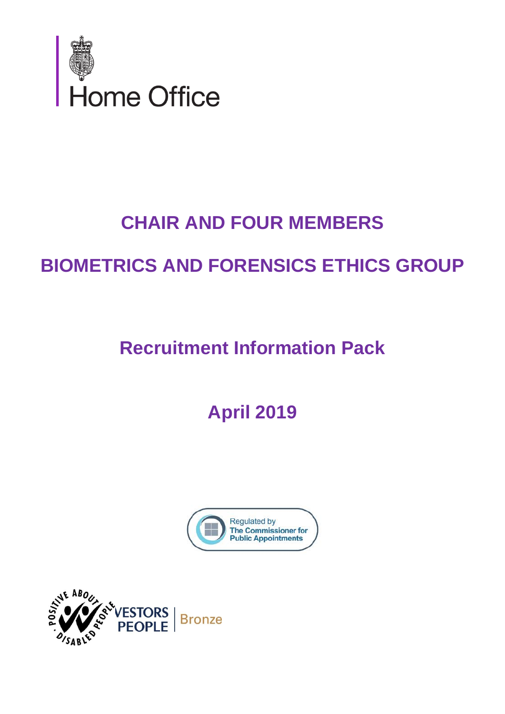

# **CHAIR AND FOUR MEMBERS**

# **BIOMETRICS AND FORENSICS ETHICS GROUP**

**Recruitment Information Pack**

**April 2019**



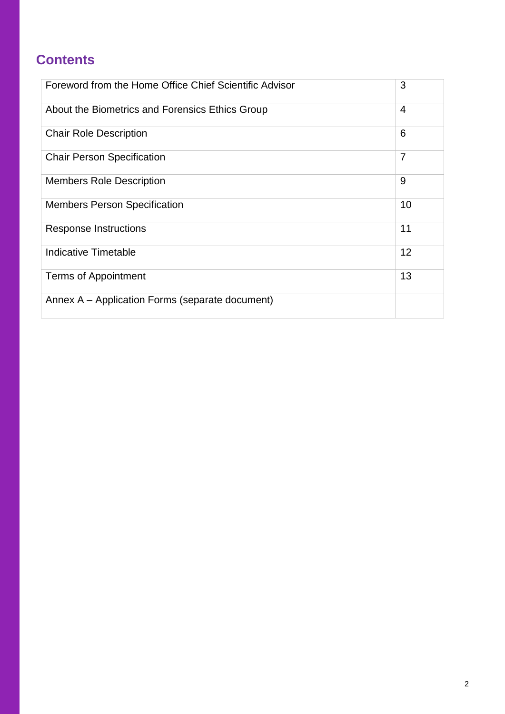# **Contents**

| Foreword from the Home Office Chief Scientific Advisor | 3  |
|--------------------------------------------------------|----|
| About the Biometrics and Forensics Ethics Group        | 4  |
| <b>Chair Role Description</b>                          | 6  |
| <b>Chair Person Specification</b>                      | 7  |
| <b>Members Role Description</b>                        | 9  |
| <b>Members Person Specification</b>                    | 10 |
| <b>Response Instructions</b>                           | 11 |
| Indicative Timetable                                   | 12 |
| <b>Terms of Appointment</b>                            | 13 |
| Annex A – Application Forms (separate document)        |    |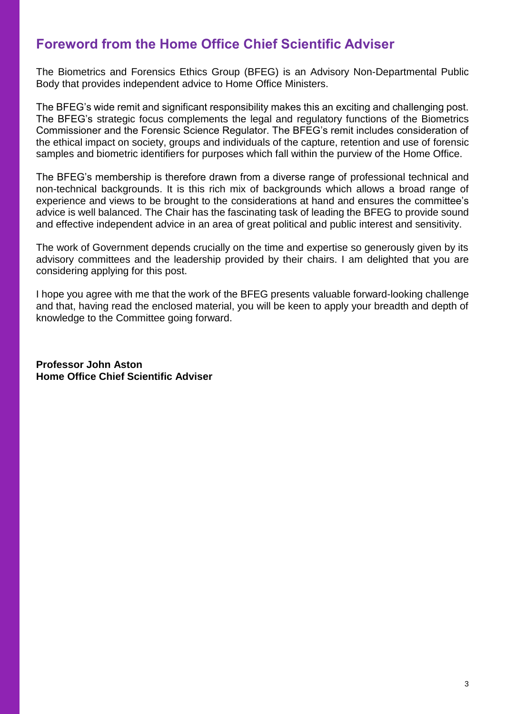## **Foreword from the Home Office Chief Scientific Adviser**

The Biometrics and Forensics Ethics Group (BFEG) is an Advisory Non-Departmental Public Body that provides independent advice to Home Office Ministers.

The BFEG's wide remit and significant responsibility makes this an exciting and challenging post. The BFEG's strategic focus complements the legal and regulatory functions of the Biometrics Commissioner and the Forensic Science Regulator. The BFEG's remit includes consideration of the ethical impact on society, groups and individuals of the capture, retention and use of forensic samples and biometric identifiers for purposes which fall within the purview of the Home Office.

The BFEG's membership is therefore drawn from a diverse range of professional technical and non-technical backgrounds. It is this rich mix of backgrounds which allows a broad range of experience and views to be brought to the considerations at hand and ensures the committee's advice is well balanced. The Chair has the fascinating task of leading the BFEG to provide sound and effective independent advice in an area of great political and public interest and sensitivity.

The work of Government depends crucially on the time and expertise so generously given by its advisory committees and the leadership provided by their chairs. I am delighted that you are considering applying for this post.

I hope you agree with me that the work of the BFEG presents valuable forward-looking challenge and that, having read the enclosed material, you will be keen to apply your breadth and depth of knowledge to the Committee going forward.

**Professor John Aston Home Office Chief Scientific Adviser**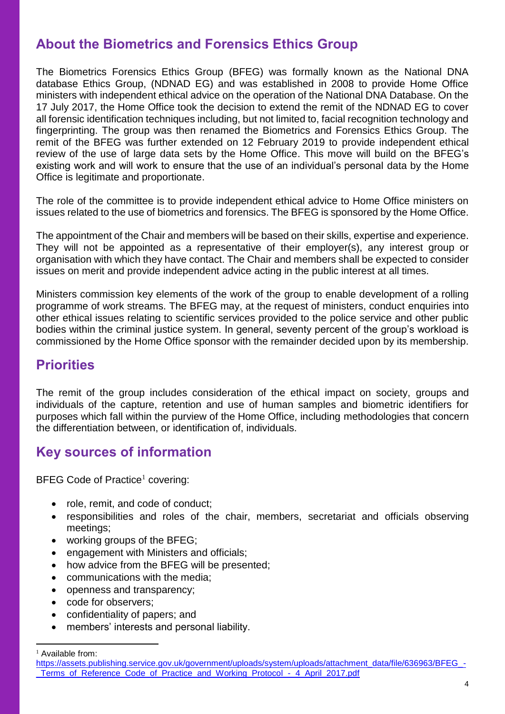## **About the Biometrics and Forensics Ethics Group**

The Biometrics Forensics Ethics Group (BFEG) was formally known as the National DNA database Ethics Group, (NDNAD EG) and was established in 2008 to provide Home Office ministers with independent ethical advice on the operation of the National DNA Database. On the 17 July 2017, the Home Office took the decision to extend the remit of the NDNAD EG to cover all forensic identification techniques including, but not limited to, facial recognition technology and fingerprinting. The group was then renamed the Biometrics and Forensics Ethics Group. The remit of the BFEG was further extended on 12 February 2019 to provide independent ethical review of the use of large data sets by the Home Office. This move will build on the BFEG's existing work and will work to ensure that the use of an individual's personal data by the Home Office is legitimate and proportionate.

The role of the committee is to provide independent ethical advice to Home Office ministers on issues related to the use of biometrics and forensics. The BFEG is sponsored by the Home Office.

The appointment of the Chair and members will be based on their skills, expertise and experience. They will not be appointed as a representative of their employer(s), any interest group or organisation with which they have contact. The Chair and members shall be expected to consider issues on merit and provide independent advice acting in the public interest at all times.

Ministers commission key elements of the work of the group to enable development of a rolling programme of work streams. The BFEG may, at the request of ministers, conduct enquiries into other ethical issues relating to scientific services provided to the police service and other public bodies within the criminal justice system. In general, seventy percent of the group's workload is commissioned by the Home Office sponsor with the remainder decided upon by its membership.

### **Priorities**

The remit of the group includes consideration of the ethical impact on society, groups and individuals of the capture, retention and use of human samples and biometric identifiers for purposes which fall within the purview of the Home Office, including methodologies that concern the differentiation between, or identification of, individuals.

### **Key sources of information**

BFEG Code of Practice<sup>1</sup> covering:

- role, remit, and code of conduct;
- responsibilities and roles of the chair, members, secretariat and officials observing meetings;
- working groups of the BFEG;
- engagement with Ministers and officials;
- how advice from the BFEG will be presented:
- communications with the media;
- openness and transparency;
- code for observers;
- confidentiality of papers; and
- members' interests and personal liability.

 $\overline{a}$ <sup>1</sup> Available from:

[https://assets.publishing.service.gov.uk/government/uploads/system/uploads/attachment\\_data/file/636963/BFEG\\_-](https://assets.publishing.service.gov.uk/government/uploads/system/uploads/attachment_data/file/636963/BFEG_-_Terms_of_Reference_Code_of_Practice_and_Working_Protocol_-_4_April_2017.pdf) Terms of Reference Code of Practice and Working Protocol - 4 April 2017.pdf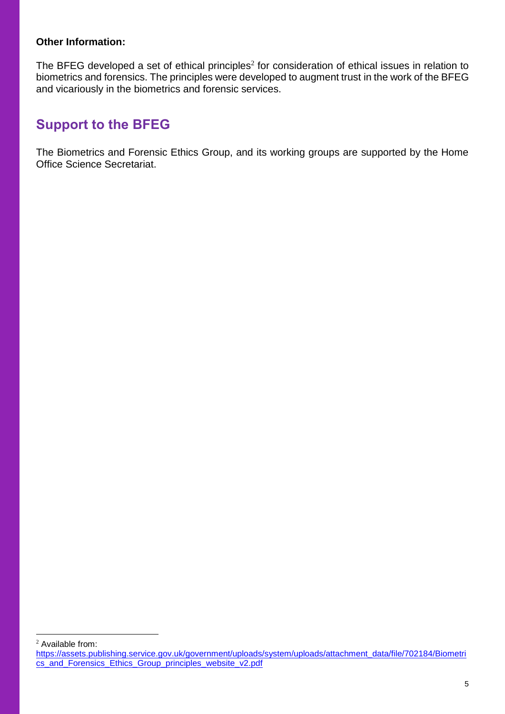#### **Other Information:**

The BFEG developed a set of ethical principles<sup>2</sup> for consideration of ethical issues in relation to biometrics and forensics. The principles were developed to augment trust in the work of the BFEG and vicariously in the biometrics and forensic services.

### **Support to the BFEG**

The Biometrics and Forensic Ethics Group, and its working groups are supported by the Home Office Science Secretariat.

 $\overline{a}$ 

<sup>&</sup>lt;sup>2</sup> Available from:

[https://assets.publishing.service.gov.uk/government/uploads/system/uploads/attachment\\_data/file/702184/Biometri](https://assets.publishing.service.gov.uk/government/uploads/system/uploads/attachment_data/file/702184/Biometrics_and_Forensics_Ethics_Group_principles_website_v2.pdf) [cs\\_and\\_Forensics\\_Ethics\\_Group\\_principles\\_website\\_v2.pdf](https://assets.publishing.service.gov.uk/government/uploads/system/uploads/attachment_data/file/702184/Biometrics_and_Forensics_Ethics_Group_principles_website_v2.pdf)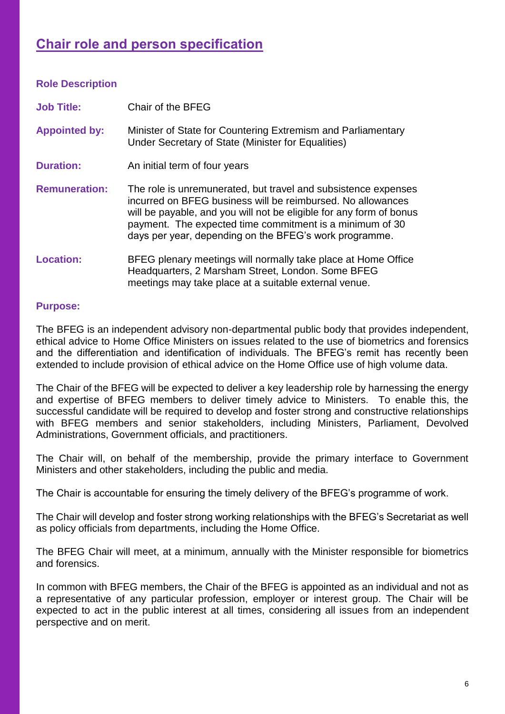# **Chair role and person specification**

| <b>Role Description</b> |                                                                                                                                                                                                                                                                                                                            |
|-------------------------|----------------------------------------------------------------------------------------------------------------------------------------------------------------------------------------------------------------------------------------------------------------------------------------------------------------------------|
| <b>Job Title:</b>       | Chair of the BFEG                                                                                                                                                                                                                                                                                                          |
| <b>Appointed by:</b>    | Minister of State for Countering Extremism and Parliamentary<br>Under Secretary of State (Minister for Equalities)                                                                                                                                                                                                         |
| <b>Duration:</b>        | An initial term of four years                                                                                                                                                                                                                                                                                              |
| <b>Remuneration:</b>    | The role is unremunerated, but travel and subsistence expenses<br>incurred on BFEG business will be reimbursed. No allowances<br>will be payable, and you will not be eligible for any form of bonus<br>payment. The expected time commitment is a minimum of 30<br>days per year, depending on the BFEG's work programme. |
| <b>Location:</b>        | BFEG plenary meetings will normally take place at Home Office<br>Headquarters, 2 Marsham Street, London. Some BFEG<br>meetings may take place at a suitable external venue.                                                                                                                                                |

#### **Purpose:**

The BFEG is an independent advisory non-departmental public body that provides independent, ethical advice to Home Office Ministers on issues related to the use of biometrics and forensics and the differentiation and identification of individuals. The BFEG's remit has recently been extended to include provision of ethical advice on the Home Office use of high volume data.

The Chair of the BFEG will be expected to deliver a key leadership role by harnessing the energy and expertise of BFEG members to deliver timely advice to Ministers. To enable this, the successful candidate will be required to develop and foster strong and constructive relationships with BFEG members and senior stakeholders, including Ministers, Parliament, Devolved Administrations, Government officials, and practitioners.

The Chair will, on behalf of the membership, provide the primary interface to Government Ministers and other stakeholders, including the public and media.

The Chair is accountable for ensuring the timely delivery of the BFEG's programme of work.

The Chair will develop and foster strong working relationships with the BFEG's Secretariat as well as policy officials from departments, including the Home Office.

The BFEG Chair will meet, at a minimum, annually with the Minister responsible for biometrics and forensics.

In common with BFEG members, the Chair of the BFEG is appointed as an individual and not as a representative of any particular profession, employer or interest group. The Chair will be expected to act in the public interest at all times, considering all issues from an independent perspective and on merit.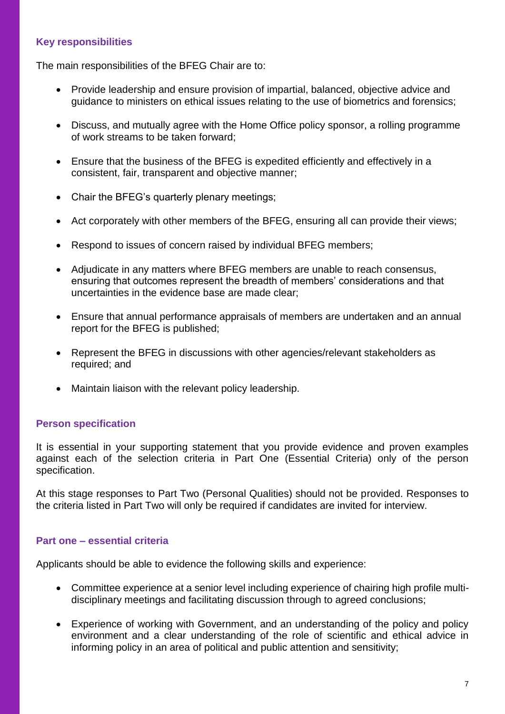#### **Key responsibilities**

The main responsibilities of the BFEG Chair are to:

- Provide leadership and ensure provision of impartial, balanced, objective advice and guidance to ministers on ethical issues relating to the use of biometrics and forensics;
- Discuss, and mutually agree with the Home Office policy sponsor, a rolling programme of work streams to be taken forward;
- Ensure that the business of the BFEG is expedited efficiently and effectively in a consistent, fair, transparent and objective manner;
- Chair the BFEG's quarterly plenary meetings;
- Act corporately with other members of the BFEG, ensuring all can provide their views:
- Respond to issues of concern raised by individual BFEG members;
- Adjudicate in any matters where BFEG members are unable to reach consensus, ensuring that outcomes represent the breadth of members' considerations and that uncertainties in the evidence base are made clear;
- Ensure that annual performance appraisals of members are undertaken and an annual report for the BFEG is published;
- Represent the BFEG in discussions with other agencies/relevant stakeholders as required; and
- Maintain liaison with the relevant policy leadership.

#### **Person specification**

It is essential in your supporting statement that you provide evidence and proven examples against each of the selection criteria in Part One (Essential Criteria) only of the person specification.

At this stage responses to Part Two (Personal Qualities) should not be provided. Responses to the criteria listed in Part Two will only be required if candidates are invited for interview.

#### **Part one – essential criteria**

Applicants should be able to evidence the following skills and experience:

- Committee experience at a senior level including experience of chairing high profile multidisciplinary meetings and facilitating discussion through to agreed conclusions;
- Experience of working with Government, and an understanding of the policy and policy environment and a clear understanding of the role of scientific and ethical advice in informing policy in an area of political and public attention and sensitivity;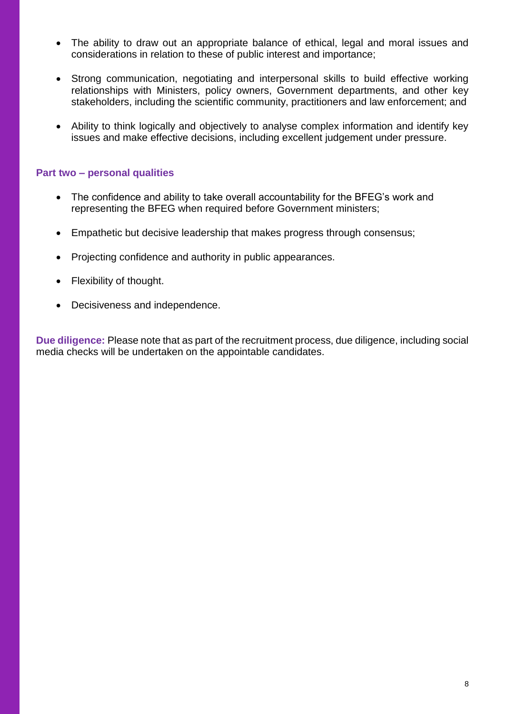- The ability to draw out an appropriate balance of ethical, legal and moral issues and considerations in relation to these of public interest and importance;
- Strong communication, negotiating and interpersonal skills to build effective working relationships with Ministers, policy owners, Government departments, and other key stakeholders, including the scientific community, practitioners and law enforcement; and
- Ability to think logically and objectively to analyse complex information and identify key issues and make effective decisions, including excellent judgement under pressure.

#### **Part two – personal qualities**

- The confidence and ability to take overall accountability for the BFEG's work and representing the BFEG when required before Government ministers;
- Empathetic but decisive leadership that makes progress through consensus;
- Projecting confidence and authority in public appearances.
- Flexibility of thought.
- Decisiveness and independence.

**Due diligence:** Please note that as part of the recruitment process, due diligence, including social media checks will be undertaken on the appointable candidates.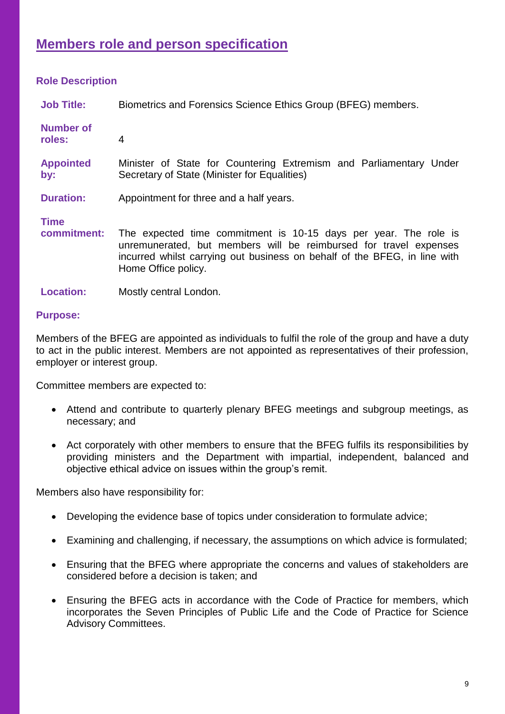# **Members role and person specification**

#### **Role Description**

| <b>Job Title:</b>          | Biometrics and Forensics Science Ethics Group (BFEG) members.                                                                                                                                                                             |  |
|----------------------------|-------------------------------------------------------------------------------------------------------------------------------------------------------------------------------------------------------------------------------------------|--|
| <b>Number of</b><br>roles: | 4                                                                                                                                                                                                                                         |  |
| <b>Appointed</b><br>by:    | Minister of State for Countering Extremism and Parliamentary Under<br>Secretary of State (Minister for Equalities)                                                                                                                        |  |
| <b>Duration:</b>           | Appointment for three and a half years.                                                                                                                                                                                                   |  |
| <b>Time</b><br>commitment: | The expected time commitment is 10-15 days per year. The role is<br>unremunerated, but members will be reimbursed for travel expenses<br>incurred whilst carrying out business on behalf of the BFEG, in line with<br>Home Office policy. |  |

**Location:** Mostly central London.

#### **Purpose:**

Members of the BFEG are appointed as individuals to fulfil the role of the group and have a duty to act in the public interest. Members are not appointed as representatives of their profession, employer or interest group.

Committee members are expected to:

- Attend and contribute to quarterly plenary BFEG meetings and subgroup meetings, as necessary; and
- Act corporately with other members to ensure that the BFEG fulfils its responsibilities by providing ministers and the Department with impartial, independent, balanced and objective ethical advice on issues within the group's remit.

Members also have responsibility for:

- Developing the evidence base of topics under consideration to formulate advice;
- Examining and challenging, if necessary, the assumptions on which advice is formulated;
- Ensuring that the BFEG where appropriate the concerns and values of stakeholders are considered before a decision is taken; and
- Ensuring the BFEG acts in accordance with the Code of Practice for members, which incorporates the Seven Principles of Public Life and the Code of Practice for Science Advisory Committees.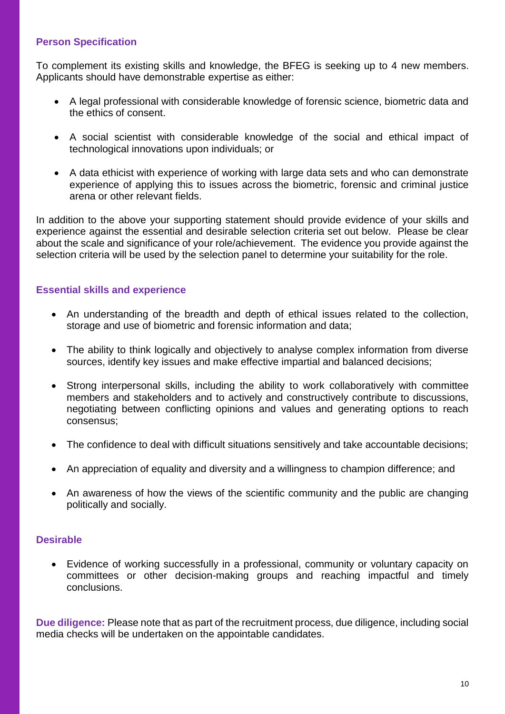#### **Person Specification**

To complement its existing skills and knowledge, the BFEG is seeking up to 4 new members. Applicants should have demonstrable expertise as either:

- A legal professional with considerable knowledge of forensic science, biometric data and the ethics of consent.
- A social scientist with considerable knowledge of the social and ethical impact of technological innovations upon individuals; or
- A data ethicist with experience of working with large data sets and who can demonstrate experience of applying this to issues across the biometric, forensic and criminal justice arena or other relevant fields.

In addition to the above your supporting statement should provide evidence of your skills and experience against the essential and desirable selection criteria set out below. Please be clear about the scale and significance of your role/achievement. The evidence you provide against the selection criteria will be used by the selection panel to determine your suitability for the role.

#### **Essential skills and experience**

- An understanding of the breadth and depth of ethical issues related to the collection, storage and use of biometric and forensic information and data;
- The ability to think logically and objectively to analyse complex information from diverse sources, identify key issues and make effective impartial and balanced decisions;
- Strong interpersonal skills, including the ability to work collaboratively with committee members and stakeholders and to actively and constructively contribute to discussions, negotiating between conflicting opinions and values and generating options to reach consensus;
- The confidence to deal with difficult situations sensitively and take accountable decisions;
- An appreciation of equality and diversity and a willingness to champion difference; and
- An awareness of how the views of the scientific community and the public are changing politically and socially.

#### **Desirable**

• Evidence of working successfully in a professional, community or voluntary capacity on committees or other decision-making groups and reaching impactful and timely conclusions.

**Due diligence:** Please note that as part of the recruitment process, due diligence, including social media checks will be undertaken on the appointable candidates.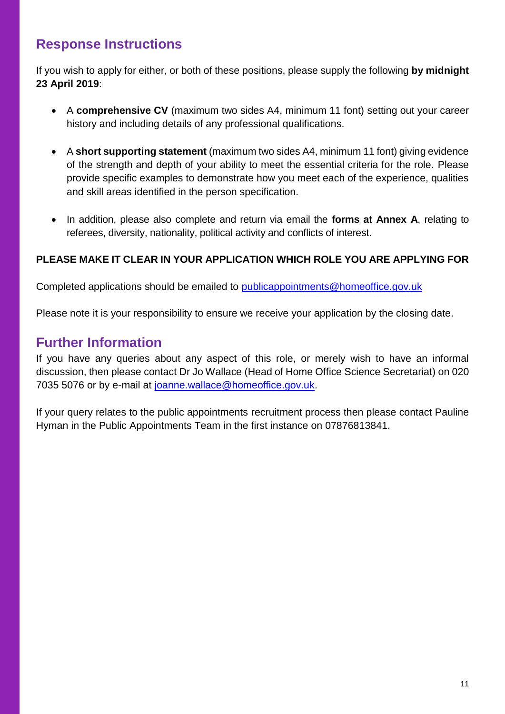## **Response Instructions**

If you wish to apply for either, or both of these positions, please supply the following **by midnight 23 April 2019**:

- A **comprehensive CV** (maximum two sides A4, minimum 11 font) setting out your career history and including details of any professional qualifications.
- A **short supporting statement** (maximum two sides A4, minimum 11 font) giving evidence of the strength and depth of your ability to meet the essential criteria for the role. Please provide specific examples to demonstrate how you meet each of the experience, qualities and skill areas identified in the person specification.
- In addition, please also complete and return via email the **forms at Annex A**, relating to referees, diversity, nationality, political activity and conflicts of interest.

#### **PLEASE MAKE IT CLEAR IN YOUR APPLICATION WHICH ROLE YOU ARE APPLYING FOR**

Completed applications should be emailed to [publicappointments@homeoffice.gov.uk](mailto:publicappointments@homeoffice.gov.uk)

Please note it is your responsibility to ensure we receive your application by the closing date.

### **Further Information**

If you have any queries about any aspect of this role, or merely wish to have an informal discussion, then please contact Dr Jo Wallace (Head of Home Office Science Secretariat) on 020 7035 5076 or by e-mail at [joanne.wallace@homeoffice.gov.uk.](mailto:joanne.wallace@homeoffice.gov.uk)

If your query relates to the public appointments recruitment process then please contact Pauline Hyman in the Public Appointments Team in the first instance on 07876813841.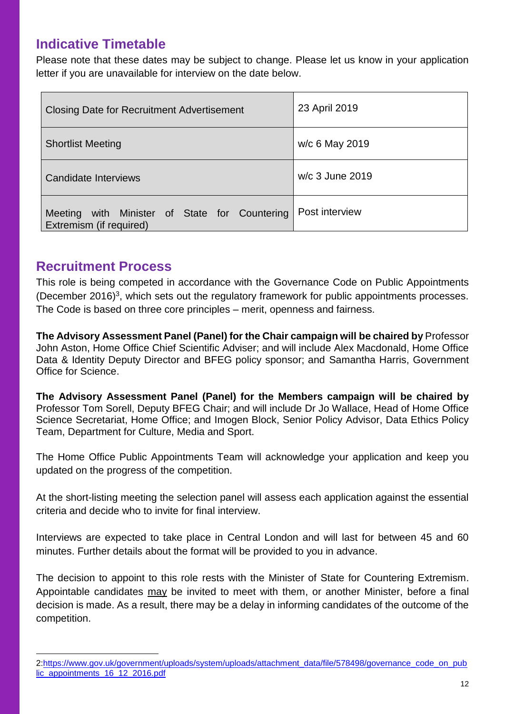### **Indicative Timetable**

Please note that these dates may be subject to change. Please let us know in your application letter if you are unavailable for interview on the date below.

| <b>Closing Date for Recruitment Advertisement</b>                           | 23 April 2019   |
|-----------------------------------------------------------------------------|-----------------|
| <b>Shortlist Meeting</b>                                                    | w/c 6 May 2019  |
| Candidate Interviews                                                        | w/c 3 June 2019 |
| with Minister of State for Countering<br>Meeting<br>Extremism (if required) | Post interview  |

### **Recruitment Process**

 $\overline{a}$ 

This role is being competed in accordance with the Governance Code on Public Appointments (December 2016)<sup>3</sup>, which sets out the regulatory framework for public appointments processes. The Code is based on three core principles – merit, openness and fairness.

**The Advisory Assessment Panel (Panel) for the Chair campaign will be chaired by** Professor John Aston, Home Office Chief Scientific Adviser; and will include Alex Macdonald, Home Office Data & Identity Deputy Director and BFEG policy sponsor; and Samantha Harris, Government Office for Science.

**The Advisory Assessment Panel (Panel) for the Members campaign will be chaired by** Professor Tom Sorell, Deputy BFEG Chair; and will include Dr Jo Wallace, Head of Home Office Science Secretariat, Home Office; and Imogen Block, Senior Policy Advisor, Data Ethics Policy Team, Department for Culture, Media and Sport.

The Home Office Public Appointments Team will acknowledge your application and keep you updated on the progress of the competition.

At the short-listing meeting the selection panel will assess each application against the essential criteria and decide who to invite for final interview.

Interviews are expected to take place in Central London and will last for between 45 and 60 minutes. Further details about the format will be provided to you in advance.

The decision to appoint to this role rests with the Minister of State for Countering Extremism. Appointable candidates may be invited to meet with them, or another Minister, before a final decision is made. As a result, there may be a delay in informing candidates of the outcome of the competition.

<sup>2</sup>[:https://www.gov.uk/government/uploads/system/uploads/attachment\\_data/file/578498/governance\\_code\\_on\\_pub](https://www.gov.uk/government/uploads/system/uploads/attachment_data/file/578498/governance_code_on_public_appointments_16_12_2016.pdf) [lic\\_appointments\\_16\\_12\\_2016.pdf](https://www.gov.uk/government/uploads/system/uploads/attachment_data/file/578498/governance_code_on_public_appointments_16_12_2016.pdf)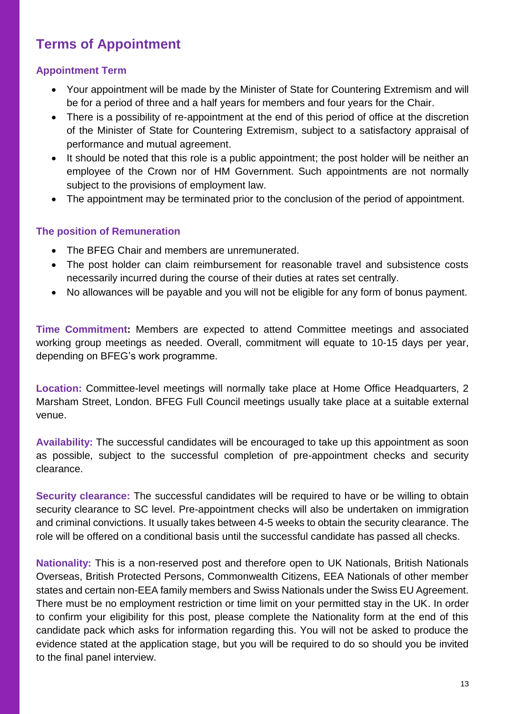# **Terms of Appointment**

#### **Appointment Term**

- Your appointment will be made by the Minister of State for Countering Extremism and will be for a period of three and a half years for members and four years for the Chair.
- There is a possibility of re-appointment at the end of this period of office at the discretion of the Minister of State for Countering Extremism, subject to a satisfactory appraisal of performance and mutual agreement.
- It should be noted that this role is a public appointment; the post holder will be neither an employee of the Crown nor of HM Government. Such appointments are not normally subject to the provisions of employment law.
- The appointment may be terminated prior to the conclusion of the period of appointment.

#### **The position of Remuneration**

- The BFEG Chair and members are unremunerated.
- The post holder can claim reimbursement for reasonable travel and subsistence costs necessarily incurred during the course of their duties at rates set centrally.
- No allowances will be payable and you will not be eligible for any form of bonus payment.

**Time Commitment:** Members are expected to attend Committee meetings and associated working group meetings as needed. Overall, commitment will equate to 10-15 days per year, depending on BFEG's work programme.

**Location:** Committee-level meetings will normally take place at Home Office Headquarters, 2 Marsham Street, London. BFEG Full Council meetings usually take place at a suitable external venue.

**Availability:** The successful candidates will be encouraged to take up this appointment as soon as possible, subject to the successful completion of pre-appointment checks and security clearance.

**Security clearance:** The successful candidates will be required to have or be willing to obtain security clearance to SC level. Pre-appointment checks will also be undertaken on immigration and criminal convictions. It usually takes between 4-5 weeks to obtain the security clearance. The role will be offered on a conditional basis until the successful candidate has passed all checks.

**Nationality:** This is a non-reserved post and therefore open to UK Nationals, British Nationals Overseas, British Protected Persons, Commonwealth Citizens, EEA Nationals of other member states and certain non-EEA family members and Swiss Nationals under the Swiss EU Agreement. There must be no employment restriction or time limit on your permitted stay in the UK. In order to confirm your eligibility for this post, please complete the Nationality form at the end of this candidate pack which asks for information regarding this. You will not be asked to produce the evidence stated at the application stage, but you will be required to do so should you be invited to the final panel interview.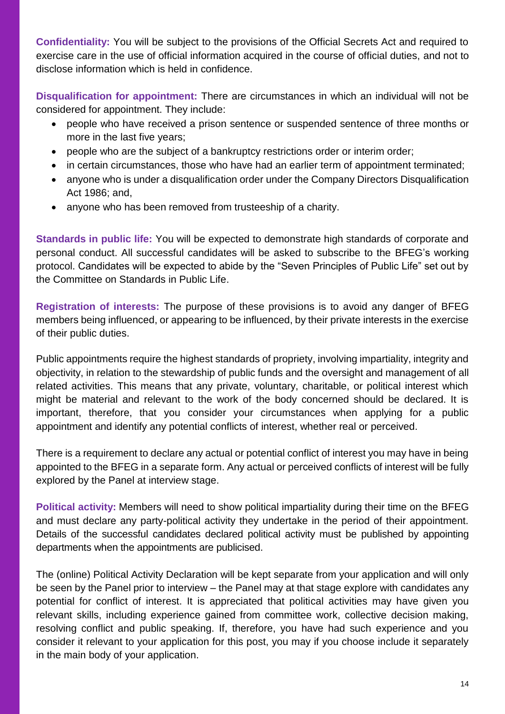**Confidentiality:** You will be subject to the provisions of the Official Secrets Act and required to exercise care in the use of official information acquired in the course of official duties, and not to disclose information which is held in confidence.

**Disqualification for appointment:** There are circumstances in which an individual will not be considered for appointment. They include:

- people who have received a prison sentence or suspended sentence of three months or more in the last five years;
- people who are the subject of a bankruptcy restrictions order or interim order;
- in certain circumstances, those who have had an earlier term of appointment terminated;
- anyone who is under a disqualification order under the Company Directors Disqualification Act 1986; and,
- anyone who has been removed from trusteeship of a charity.

**Standards in public life:** You will be expected to demonstrate high standards of corporate and personal conduct. All successful candidates will be asked to subscribe to the BFEG's working protocol. Candidates will be expected to abide by the "Seven Principles of Public Life" set out by the Committee on Standards in Public Life.

**Registration of interests:** The purpose of these provisions is to avoid any danger of BFEG members being influenced, or appearing to be influenced, by their private interests in the exercise of their public duties.

Public appointments require the highest standards of propriety, involving impartiality, integrity and objectivity, in relation to the stewardship of public funds and the oversight and management of all related activities. This means that any private, voluntary, charitable, or political interest which might be material and relevant to the work of the body concerned should be declared. It is important, therefore, that you consider your circumstances when applying for a public appointment and identify any potential conflicts of interest, whether real or perceived.

There is a requirement to declare any actual or potential conflict of interest you may have in being appointed to the BFEG in a separate form. Any actual or perceived conflicts of interest will be fully explored by the Panel at interview stage.

**Political activity:** Members will need to show political impartiality during their time on the BFEG and must declare any party-political activity they undertake in the period of their appointment. Details of the successful candidates declared political activity must be published by appointing departments when the appointments are publicised.

The (online) Political Activity Declaration will be kept separate from your application and will only be seen by the Panel prior to interview – the Panel may at that stage explore with candidates any potential for conflict of interest. It is appreciated that political activities may have given you relevant skills, including experience gained from committee work, collective decision making, resolving conflict and public speaking. If, therefore, you have had such experience and you consider it relevant to your application for this post, you may if you choose include it separately in the main body of your application.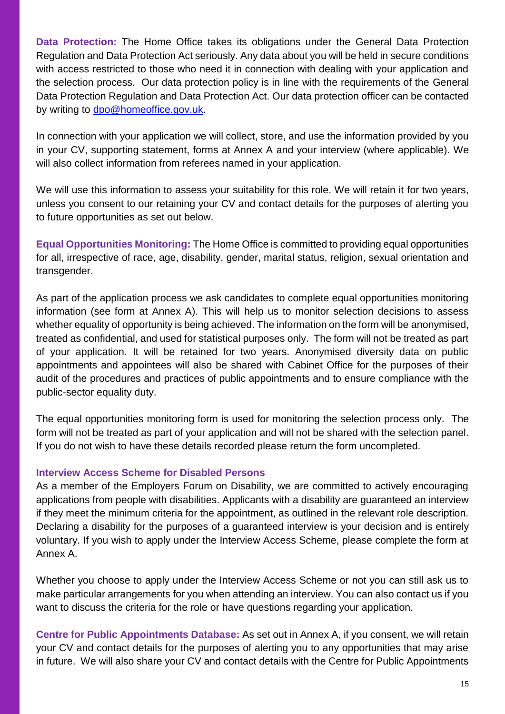**Data Protection:** The Home Office takes its obligations under the General Data Protection Regulation and Data Protection Act seriously. Any data about you will be held in secure conditions with access restricted to those who need it in connection with dealing with your application and the selection process. Our data protection policy is in line with the requirements of the General Data Protection Regulation and Data Protection Act. Our data protection officer can be contacted by writing to [dpo@homeoffice.gov.uk.](mailto:dpo@homeoffice.gov.uk)

In connection with your application we will collect, store, and use the information provided by you in your CV, supporting statement, forms at Annex A and your interview (where applicable). We will also collect information from referees named in your application.

We will use this information to assess your suitability for this role. We will retain it for two years, unless you consent to our retaining your CV and contact details for the purposes of alerting you to future opportunities as set out below.

**Equal Opportunities Monitoring:** The Home Office is committed to providing equal opportunities for all, irrespective of race, age, disability, gender, marital status, religion, sexual orientation and transgender.

As part of the application process we ask candidates to complete equal opportunities monitoring information (see form at Annex A). This will help us to monitor selection decisions to assess whether equality of opportunity is being achieved. The information on the form will be anonymised, treated as confidential, and used for statistical purposes only. The form will not be treated as part of your application. It will be retained for two years. Anonymised diversity data on public appointments and appointees will also be shared with Cabinet Office for the purposes of their audit of the procedures and practices of public appointments and to ensure compliance with the public-sector equality duty.

The equal opportunities monitoring form is used for monitoring the selection process only. The form will not be treated as part of your application and will not be shared with the selection panel. If you do not wish to have these details recorded please return the form uncompleted.

#### **Interview Access Scheme for Disabled Persons**

As a member of the Employers Forum on Disability, we are committed to actively encouraging applications from people with disabilities. Applicants with a disability are guaranteed an interview if they meet the minimum criteria for the appointment, as outlined in the relevant role description. Declaring a disability for the purposes of a guaranteed interview is your decision and is entirely voluntary. If you wish to apply under the Interview Access Scheme, please complete the form at Annex A.

Whether you choose to apply under the Interview Access Scheme or not you can still ask us to make particular arrangements for you when attending an interview. You can also contact us if you want to discuss the criteria for the role or have questions regarding your application.

**Centre for Public Appointments Database:** As set out in Annex A, if you consent, we will retain your CV and contact details for the purposes of alerting you to any opportunities that may arise in future. We will also share your CV and contact details with the Centre for Public Appointments